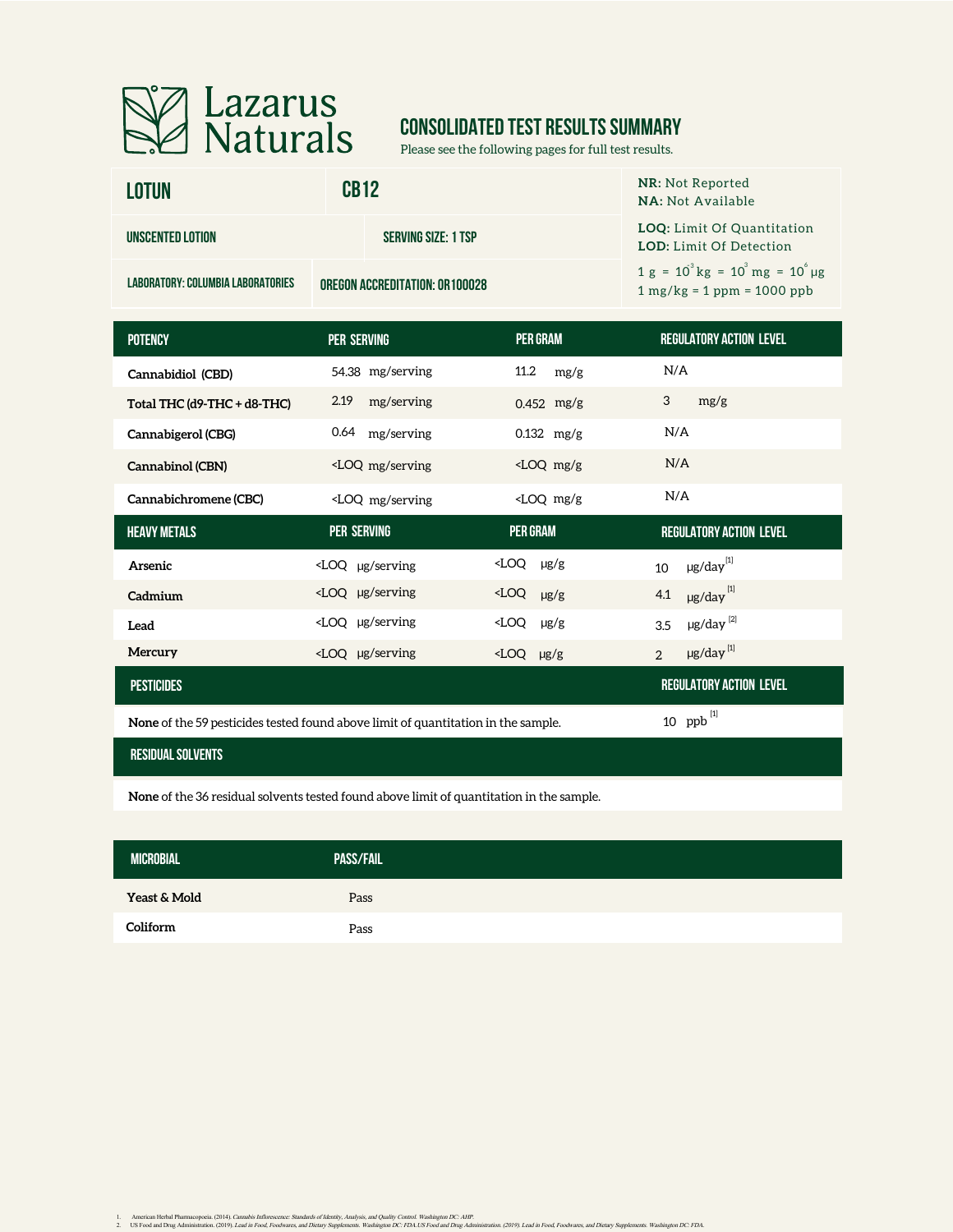

# **CONSOLIDATED TEST RESULTS SUMMARY**

Please see the following pages for full test results.

| <b>LOTUN</b>                      | <b>CB12</b>                            | <b>NR: Not Reported</b><br><b>NA: Not Available</b>                          |                                                                     |
|-----------------------------------|----------------------------------------|------------------------------------------------------------------------------|---------------------------------------------------------------------|
| UNSCENTED LOTION                  | <b>SERVING SIZE: 1 TSP</b>             |                                                                              | <b>LOQ:</b> Limit Of Quantitation<br><b>LOD:</b> Limit Of Detection |
| LABORATORY: COLUMBIA LABORATORIES | <b>OREGON ACCREDITATION: OR 100028</b> | $1 g = 10^{3} kg = 10^{3} mg = 10^{6} \mu g$<br>$1 mg/kg = 1 ppm = 1000 ppb$ |                                                                     |
|                                   |                                        |                                                                              |                                                                     |
| <b>DOTENCY</b>                    | DED CEDVING                            | <b>DED CDAM</b>                                                              | <b>DECIH ATODY ACTION I EVEL</b>                                    |

| <b>PER SERVING</b>                                                                                                                                | <b>PER GRAM</b>        | <b>REGULATORY ACTION LEVEL</b> |
|---------------------------------------------------------------------------------------------------------------------------------------------------|------------------------|--------------------------------|
| 54.38 mg/serving                                                                                                                                  | 11.2<br>mg/g           | N/A                            |
| 2.19<br>mg/serving                                                                                                                                | $0.452$ mg/g           | 3<br>mg/g                      |
| 0.64 mg/serving                                                                                                                                   | $0.132$ mg/g           | N/A                            |
| <loq mg="" serving<="" td=""><td><math>\angle</math>LOQ mg/g</td><td>N/A</td></loq>                                                               | $\angle$ LOQ mg/g      | N/A                            |
| <loq mg="" serving<="" td=""><td><math>\angle</math>LOQ mg/g</td><td>N/A</td></loq>                                                               | $\angle$ LOQ mg/g      | N/A                            |
| <b>PER SERVING</b>                                                                                                                                | <b>PER GRAM</b>        | <b>REGULATORY ACTION LEVEL</b> |
| $\angle$ LOQ µg/serving                                                                                                                           | $\angle$ LOQ $\mu$ g/g | $\mu$ g/day $^{[1]}$<br>10     |
| <loq serving<="" td="" µg=""><td><math>\times LOQ</math> <math>\mu g/g</math></td><td><math>\mu</math>g/day<math>^{[1]}</math><br/>4.1</td></loq> | $\times LOQ$ $\mu g/g$ | $\mu$ g/day $^{[1]}$<br>4.1    |
| <loq serving<="" td="" µg=""><td><math>\angle</math>LOQ <math>\mu</math>g/g</td><td><math>\mu</math>g/day<math>^{[2]}</math><br/>3.5</td></loq>   | $\angle$ LOQ $\mu$ g/g | $\mu$ g/day $^{[2]}$<br>3.5    |
| <loq serving<="" td="" µg=""><td><math>\angle</math>LOQ <math>\mu</math>g/g</td><td><math>\mu</math>g/day<math>^{[1]}</math><br/>2</td></loq>     | $\angle$ LOQ $\mu$ g/g | $\mu$ g/day $^{[1]}$<br>2      |
|                                                                                                                                                   |                        | <b>REGULATORY ACTION LEVEL</b> |
|                                                                                                                                                   |                        |                                |

**None** of the 59 pesticides tested found above limit of quantitation in the sample.

### **residual solvents**

**None** of the 36 residual solvents tested found above limit of quantitation in the sample.

| <b>MICROBIAL</b> | <b>PASS/FAIL</b> |  |
|------------------|------------------|--|
| Yeast & Mold     | Pass             |  |
| Coliform         | Pass             |  |

ppb [1]

1. American Herbal Pharmacopoeia. (2014). Cananki Inflorescaree: Standards of Identity. Analysia, and yeality. Contol. Washington DC: AHP.<br>2. US Food and Drug Administration, (2019). Lead in Food, Food, Face, Washington DC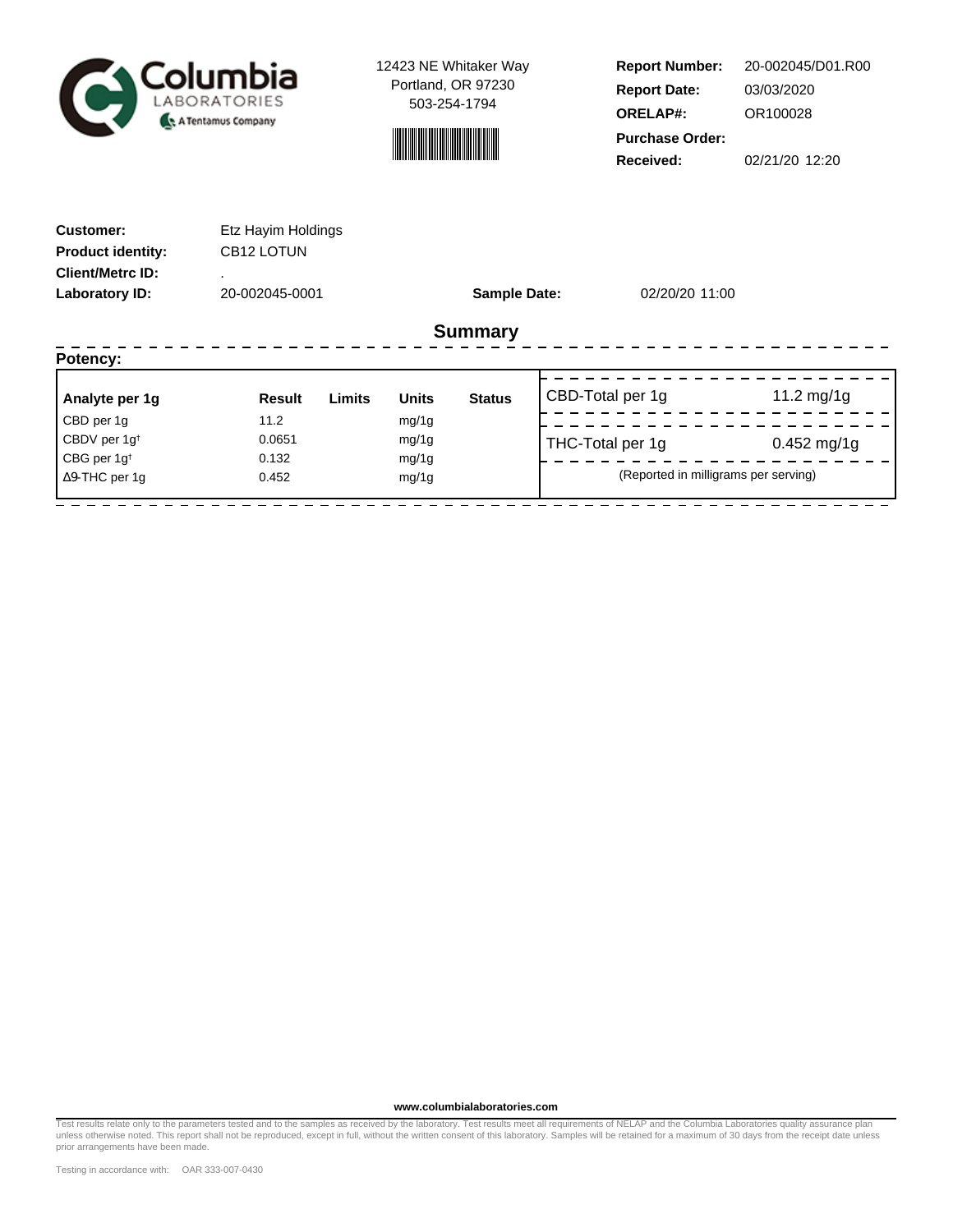



**Report Number: Report Date: ORELAP#:** 03/03/2020 OR100028 **Received:** 02/21/20 12:20 **Purchase Order:** 20-002045/D01.R00

| <b>Customer:</b><br><b>Product identity:</b><br><b>Client/Metrc ID:</b> | Etz Hayim Holdings<br>CB12 LOTUN |                               |                     |                                      |               |
|-------------------------------------------------------------------------|----------------------------------|-------------------------------|---------------------|--------------------------------------|---------------|
| Laboratory ID:                                                          | 20-002045-0001                   |                               | <b>Sample Date:</b> | 02/20/20 11:00                       |               |
|                                                                         |                                  | <b>Summary</b>                |                     |                                      |               |
| Potency:                                                                |                                  |                               |                     |                                      |               |
| Analyte per 1g                                                          | Limits<br>Result                 | <b>Units</b><br><b>Status</b> |                     | CBD-Total per 1g                     | 11.2 mg/1g    |
| CBD per 1g                                                              | 11.2                             | mg/1g                         |                     |                                      |               |
| CBDV per 1g <sup>t</sup>                                                | 0.0651                           | mg/1g                         |                     | THC-Total per 1g                     | $0.452$ mg/1g |
| CBG per $1g^{\dagger}$                                                  | 0.132                            | mg/1g                         |                     |                                      |               |
| $\Delta$ 9-THC per 1g                                                   | 0.452                            | mg/1g                         |                     | (Reported in milligrams per serving) |               |
|                                                                         |                                  |                               |                     |                                      |               |

**www.columbialaboratories.com**

Test results relate only to the parameters tested and to the samples as received by the laboratory. Test results meet all requirements of NELAP and the Columbia Laboratories quality assurance plan<br>unless otherwise noted. T prior arrangements have been made.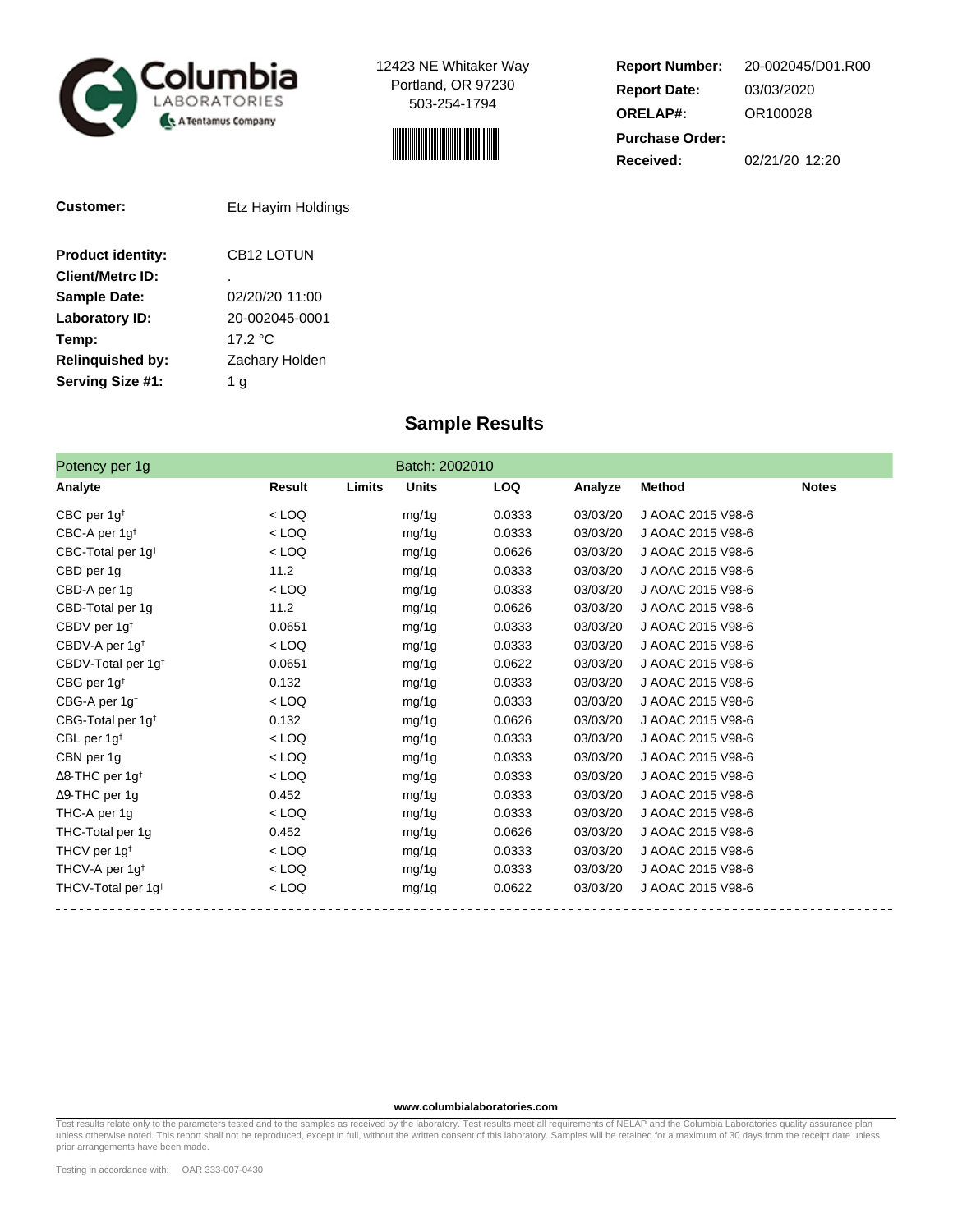



**Report Number: Report Date: ORELAP#:** 03/03/2020 OR100028 **Received:** 02/21/20 12:20 **Purchase Order:** 20-002045/D01.R00

| Customer:                | Etz Hayim Holdings |
|--------------------------|--------------------|
| <b>Product identity:</b> | CB12 LOTUN         |
| Client/Metrc ID:         |                    |
| <b>Sample Date:</b>      | 02/20/20 11:00     |
| Laboratory ID:           | 20-002045-0001     |
| Temp:                    | 17.2 $\degree$ C   |
| <b>Relinquished by:</b>  | Zachary Holden     |
| Serving Size #1:         | g                  |

## **Sample Results**

| Potency per 1g                     |         |        | Batch: 2002010 |            |          |                   |              |
|------------------------------------|---------|--------|----------------|------------|----------|-------------------|--------------|
| Analyte                            | Result  | Limits | <b>Units</b>   | <b>LOQ</b> | Analyze  | <b>Method</b>     | <b>Notes</b> |
| CBC per $1g†$                      | $<$ LOQ |        | mg/1g          | 0.0333     | 03/03/20 | J AOAC 2015 V98-6 |              |
| CBC-A per 1g <sup>t</sup>          | $<$ LOQ |        | mg/1g          | 0.0333     | 03/03/20 | J AOAC 2015 V98-6 |              |
| CBC-Total per 1g <sup>t</sup>      | $<$ LOQ |        | mg/1g          | 0.0626     | 03/03/20 | J AOAC 2015 V98-6 |              |
| CBD per 1g                         | 11.2    |        | mg/1g          | 0.0333     | 03/03/20 | J AOAC 2015 V98-6 |              |
| CBD-A per 1g                       | $<$ LOQ |        | mg/1g          | 0.0333     | 03/03/20 | J AOAC 2015 V98-6 |              |
| CBD-Total per 1g                   | 11.2    |        | mg/1g          | 0.0626     | 03/03/20 | J AOAC 2015 V98-6 |              |
| CBDV per 1g <sup>t</sup>           | 0.0651  |        | mg/1g          | 0.0333     | 03/03/20 | J AOAC 2015 V98-6 |              |
| CBDV-A per 1g <sup>t</sup>         | $<$ LOQ |        | mg/1g          | 0.0333     | 03/03/20 | J AOAC 2015 V98-6 |              |
| CBDV-Total per 1g <sup>t</sup>     | 0.0651  |        | mg/1g          | 0.0622     | 03/03/20 | J AOAC 2015 V98-6 |              |
| CBG per 1g <sup>t</sup>            | 0.132   |        | mg/1g          | 0.0333     | 03/03/20 | J AOAC 2015 V98-6 |              |
| CBG-A per 1g <sup>t</sup>          | $<$ LOQ |        | mg/1g          | 0.0333     | 03/03/20 | J AOAC 2015 V98-6 |              |
| CBG-Total per 1g <sup>t</sup>      | 0.132   |        | mg/1g          | 0.0626     | 03/03/20 | J AOAC 2015 V98-6 |              |
| CBL per $1g†$                      | $<$ LOQ |        | mg/1g          | 0.0333     | 03/03/20 | J AOAC 2015 V98-6 |              |
| CBN per 1g                         | $<$ LOQ |        | mg/1g          | 0.0333     | 03/03/20 | J AOAC 2015 V98-6 |              |
| $\Delta$ 8-THC per 1g <sup>+</sup> | $<$ LOQ |        | mg/1g          | 0.0333     | 03/03/20 | J AOAC 2015 V98-6 |              |
| $\Delta$ 9-THC per 1g              | 0.452   |        | mg/1g          | 0.0333     | 03/03/20 | J AOAC 2015 V98-6 |              |
| THC-A per 1g                       | $<$ LOQ |        | mg/1g          | 0.0333     | 03/03/20 | J AOAC 2015 V98-6 |              |
| THC-Total per 1g                   | 0.452   |        | mg/1g          | 0.0626     | 03/03/20 | J AOAC 2015 V98-6 |              |
| THCV per $1g^{\dagger}$            | $<$ LOQ |        | mg/1g          | 0.0333     | 03/03/20 | J AOAC 2015 V98-6 |              |
| THCV-A per 1g <sup>t</sup>         | $<$ LOQ |        | mg/1g          | 0.0333     | 03/03/20 | J AOAC 2015 V98-6 |              |
| THCV-Total per 1g <sup>t</sup>     | $<$ LOQ |        | mg/1g          | 0.0622     | 03/03/20 | J AOAC 2015 V98-6 |              |

#### **www.columbialaboratories.com**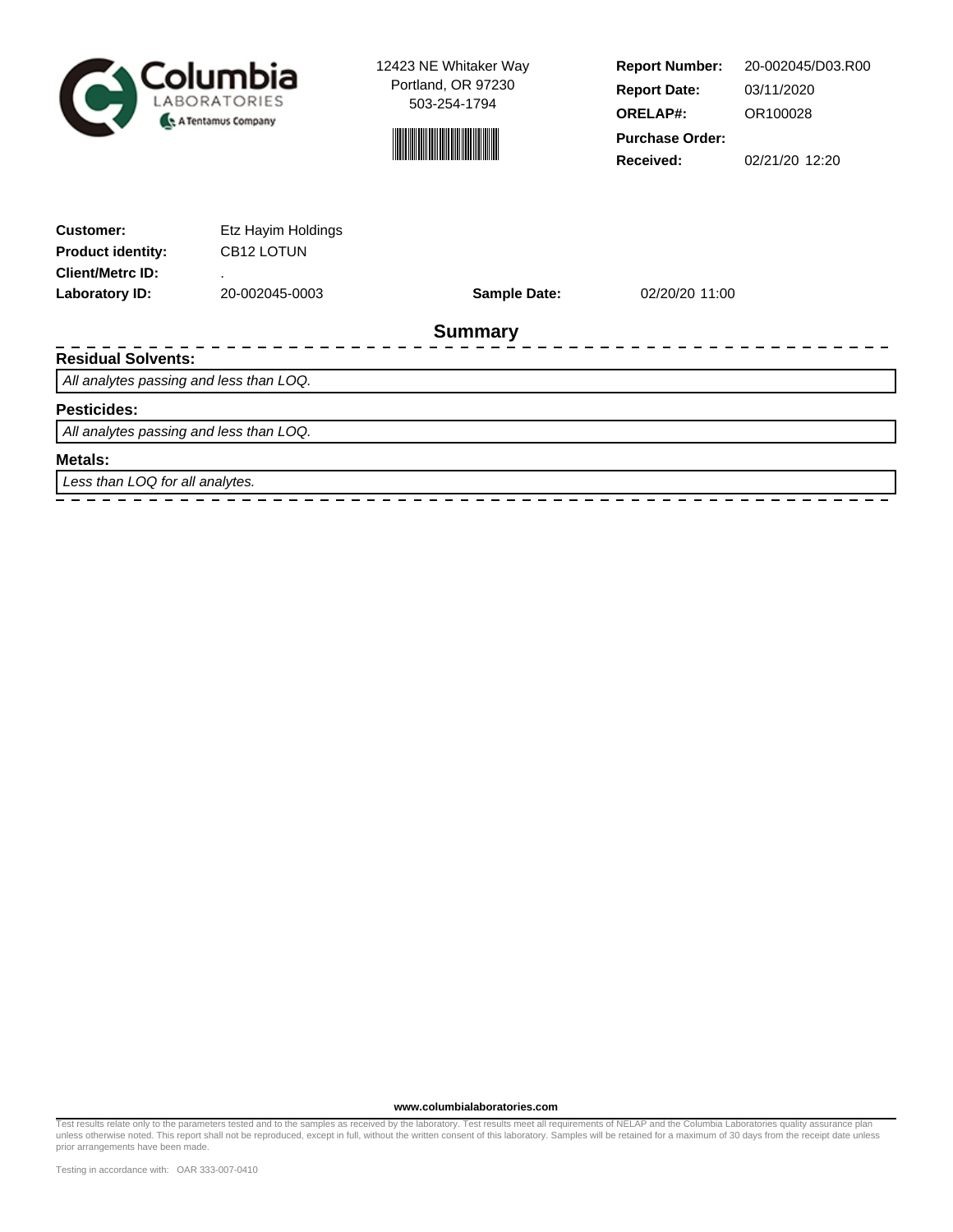



**Report Number: Report Date: ORELAP#:** 03/11/2020 OR100028 **Received:** 02/21/20 12:20 **Purchase Order:** 20-002045/D03.R00

| <b>Customer:</b><br><b>Product identity:</b> | Etz Hayim Holdings<br>CB12 LOTUN |                     |                |  |
|----------------------------------------------|----------------------------------|---------------------|----------------|--|
| <b>Client/Metrc ID:</b>                      |                                  |                     |                |  |
| Laboratory ID:                               | 20-002045-0003                   | <b>Sample Date:</b> | 02/20/20 11:00 |  |
|                                              |                                  | <b>Summary</b>      |                |  |
| <b>Residual Solvents:</b>                    |                                  |                     |                |  |
| All analytes passing and less than LOQ.      |                                  |                     |                |  |
| <b>Pesticides:</b>                           |                                  |                     |                |  |
| All analytes passing and less than LOQ.      |                                  |                     |                |  |
| Metals:                                      |                                  |                     |                |  |
| Less than LOQ for all analytes.              |                                  |                     |                |  |
|                                              |                                  |                     |                |  |

**www.columbialaboratories.com**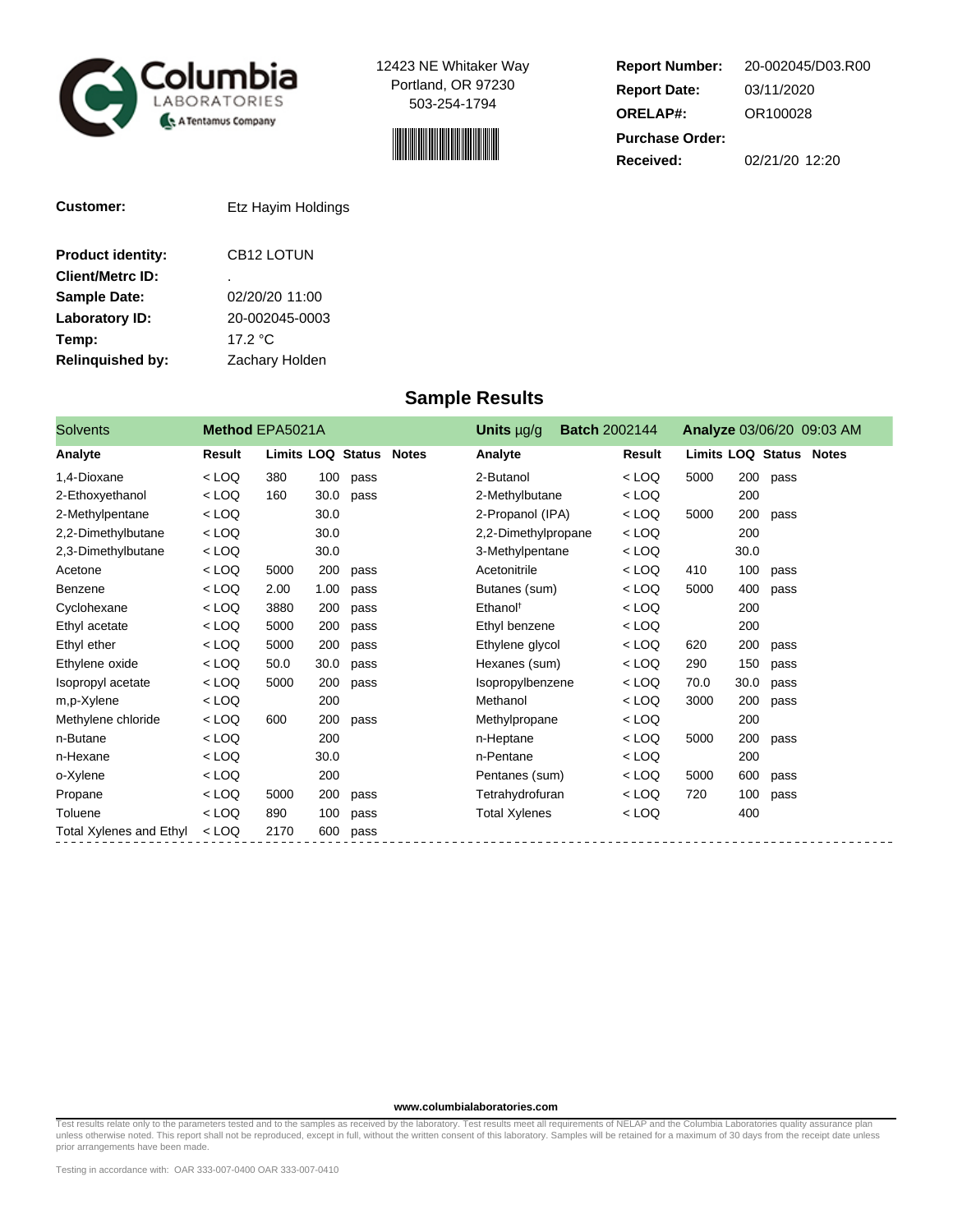



**Report Number: Report Date: ORELAP#:** 03/11/2020 OR100028 **Received:** 02/21/20 12:20 **Purchase Order:** 20-002045/D03.R00

| <b>Customer:</b>         | Etz Hayim Holdings |
|--------------------------|--------------------|
| <b>Product identity:</b> | CB12 LOTUN         |
| <b>Client/Metrc ID:</b>  | ٠                  |
| <b>Sample Date:</b>      | 02/20/20 11:00     |
| <b>Laboratory ID:</b>    | 20-002045-0003     |
| Temp:                    | 17.2 $\degree$ C   |
| <b>Relinquished by:</b>  | Zachary Holden     |

## **Sample Results**

| <b>Solvents</b>         | Method EPA5021A |                                |      |      | Units $\mu$ g/g      | <b>Batch 2002144</b> |               |                                |      |      | Analyze 03/06/20 09:03 AM |
|-------------------------|-----------------|--------------------------------|------|------|----------------------|----------------------|---------------|--------------------------------|------|------|---------------------------|
| Analyte                 | Result          | <b>Limits LOQ Status Notes</b> |      |      | Analyte              |                      | <b>Result</b> | <b>Limits LOQ Status Notes</b> |      |      |                           |
| 1,4-Dioxane             | $<$ LOQ         | 380                            | 100  | pass | 2-Butanol            |                      | $<$ LOQ       | 5000                           | 200  | pass |                           |
| 2-Ethoxyethanol         | $<$ LOQ         | 160                            | 30.0 | pass | 2-Methylbutane       |                      | $<$ LOQ       |                                | 200  |      |                           |
| 2-Methylpentane         | $<$ LOQ         |                                | 30.0 |      | 2-Propanol (IPA)     |                      | $<$ LOQ       | 5000                           | 200  | pass |                           |
| 2,2-Dimethylbutane      | $<$ LOQ         |                                | 30.0 |      | 2,2-Dimethylpropane  |                      | $<$ LOQ       |                                | 200  |      |                           |
| 2,3-Dimethylbutane      | $<$ LOQ         |                                | 30.0 |      | 3-Methylpentane      |                      | $<$ LOQ       |                                | 30.0 |      |                           |
| Acetone                 | $<$ LOQ         | 5000                           | 200  | pass | Acetonitrile         |                      | $<$ LOQ       | 410                            | 100  | pass |                           |
| Benzene                 | $<$ LOQ         | 2.00                           | 1.00 | pass | Butanes (sum)        |                      | $<$ LOQ       | 5000                           | 400  | pass |                           |
| Cyclohexane             | $<$ LOQ         | 3880                           | 200  | pass | Ethanol <sup>t</sup> |                      | $<$ LOQ       |                                | 200  |      |                           |
| Ethyl acetate           | $<$ LOQ         | 5000                           | 200  | pass | Ethyl benzene        |                      | $<$ LOQ       |                                | 200  |      |                           |
| Ethyl ether             | $<$ LOQ         | 5000                           | 200  | pass | Ethylene glycol      |                      | $<$ LOQ       | 620                            | 200  | pass |                           |
| Ethylene oxide          | $<$ LOQ         | 50.0                           | 30.0 | pass | Hexanes (sum)        |                      | $<$ LOQ       | 290                            | 150  | pass |                           |
| Isopropyl acetate       | $<$ LOQ         | 5000                           | 200  | pass | Isopropylbenzene     |                      | < LOQ         | 70.0                           | 30.0 | pass |                           |
| m,p-Xylene              | $<$ LOQ         |                                | 200  |      | Methanol             |                      | $<$ LOQ       | 3000                           | 200  | pass |                           |
| Methylene chloride      | $<$ LOQ         | 600                            | 200  | pass | Methylpropane        |                      | $<$ LOQ       |                                | 200  |      |                           |
| n-Butane                | $<$ LOQ         |                                | 200  |      | n-Heptane            |                      | $<$ LOQ       | 5000                           | 200  | pass |                           |
| n-Hexane                | $<$ LOQ         |                                | 30.0 |      | n-Pentane            |                      | $<$ LOQ       |                                | 200  |      |                           |
| o-Xylene                | $<$ LOQ         |                                | 200  |      | Pentanes (sum)       |                      | $<$ LOQ       | 5000                           | 600  | pass |                           |
| Propane                 | $<$ LOQ         | 5000                           | 200  | pass | Tetrahydrofuran      |                      | $<$ LOQ       | 720                            | 100  | pass |                           |
| Toluene                 | $<$ LOQ         | 890                            | 100  | pass | <b>Total Xylenes</b> |                      | $<$ LOQ       |                                | 400  |      |                           |
| Total Xylenes and Ethyl | $<$ LOQ         | 2170                           | 600  | pass |                      |                      |               |                                |      |      |                           |

**www.columbialaboratories.com**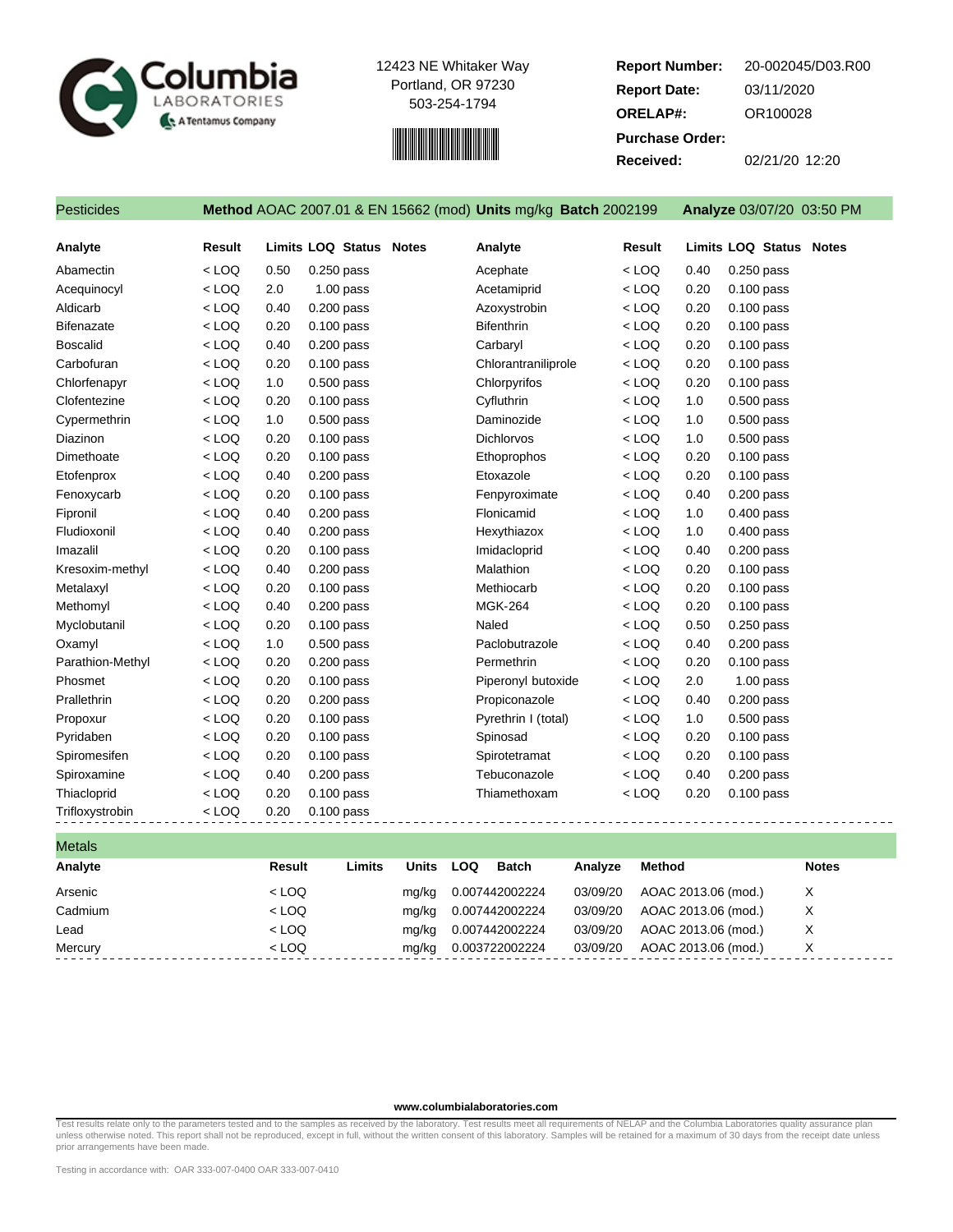



**Report Number: Report Date: ORELAP#:** 03/11/2020 OR100028 **Received:** 02/21/20 12:20 **Purchase Order:** 20-002045/D03.R00

|  | Pesticides |  |
|--|------------|--|

### Pesticides **Method** AOAC 2007.01 & EN 15662 (mod) **Units** mg/kg **Batch** 2002199 **Analyze** 03/07/20 03:50 PM

**Analyte Result Limits LOQ Status Notes Analyte Result Limits LOQ Status Notes** Abamectin < LOQ 0.50 0.250 pass Acephate < LOQ 0.40 0.250 pass Acequinocyl < LOQ 2.0 1.00 pass Acetamiprid < LOQ 0.20 0.100 pass Aldicarb < LOQ 0.40 0.200 pass Azoxystrobin < LOQ 0.20 0.100 pass Bifenazate < LOQ 0.20 0.100 pass Bifenthrin < LOQ 0.20 0.100 pass Boscalid < LOQ 0.40 0.200 pass Carbaryl < LOQ 0.20 0.100 pass Carbofuran < LOQ 0.20 0.100 pass Chlorantraniliprole < LOQ 0.20 0.100 pass Chlorfenapyr < LOQ 1.0 0.500 pass Chlorpyrifos < LOQ 0.20 0.100 pass Clofentezine < LOQ 0.20 0.100 pass Cyfluthrin < LOQ 1.0 0.500 pass Cypermethrin < LOQ 1.0 0.500 pass Daminozide < LOQ 1.0 0.500 pass Diazinon < LOQ 0.20 0.100 pass Dichlorvos < LOQ 1.0 0.500 pass Dimethoate < LOQ 0.20 0.100 pass Ethoprophos < LOQ 0.20 0.100 pass Etofenprox < LOQ 0.40 0.200 pass Etoxazole < LOQ 0.20 0.100 pass Fenoxycarb < LOQ 0.20 0.100 pass Fenpyroximate < LOQ 0.40 0.200 pass Fipronil < LOQ 0.40 0.200 pass Flonicamid < LOQ 1.0 0.400 pass Fludioxonil < LOQ 0.40 0.200 pass Hexythiazox < LOQ 1.0 0.400 pass Imazalil < LOQ 0.20 0.100 pass Imidacloprid < LOQ 0.40 0.200 pass Kresoxim-methyl < LOQ 0.40 0.200 pass Malathion < LOQ 0.20 0.100 pass Metalaxyl < LOQ 0.20 0.100 pass Methiocarb < LOQ 0.20 0.100 pass Methomyl < LOQ 0.40 0.200 pass MGK-264 < LOQ 0.20 0.100 pass Myclobutanil < LOQ 0.20 0.100 pass Naled < LOQ 0.50 0.250 pass Oxamyl < LOQ 1.0 0.500 pass Paclobutrazole < LOQ 0.40 0.200 pass Parathion-Methyl < LOQ 0.20 0.200 pass Permethrin < LOQ 0.20 0.100 pass Phosmet < LOQ 0.20 0.100 pass Piperonyl butoxide < LOQ 2.0 1.00 pass Prallethrin < LOQ 0.20 0.200 pass Propiconazole < LOQ 0.40 0.200 pass Propoxur < LOQ 0.20 0.100 pass Pyrethrin I (total) < LOQ 1.0 0.500 pass Pyridaben < LOQ 0.20 0.100 pass Spinosad < LOQ 0.20 0.100 pass Spiromesifen < LOQ 0.20 0.100 pass Spirotetramat < LOQ 0.20 0.100 pass Spiroxamine < LOQ 0.40 0.200 pass Tebuconazole < LOQ 0.40 0.200 pass Thiacloprid < LOQ 0.20 0.100 pass Thiamethoxam < LOQ 0.20 0.100 pass Trifloxystrobin < LOQ 0.20 0.100 pass

Metals **Analyte Result Limits Units LOQ Batch Analyze Method Notes** Arsenic < LOQ mg/kg 0.007442002224 03/09/20 AOAC 2013.06 (mod.) X Cadmium < LOQ mg/kg 0.007442002224 03/09/20 AOAC 2013.06 (mod.) X Lead  $\leftarrow$  LOQ  $\leftarrow$  Mg/kg 0.007442002224 03/09/20 AOAC 2013.06 (mod.) X Mercury < LOQ mg/kg 0.003722002224 03/09/20 AOAC 2013.06 (mod.) X

#### **www.columbialaboratories.com**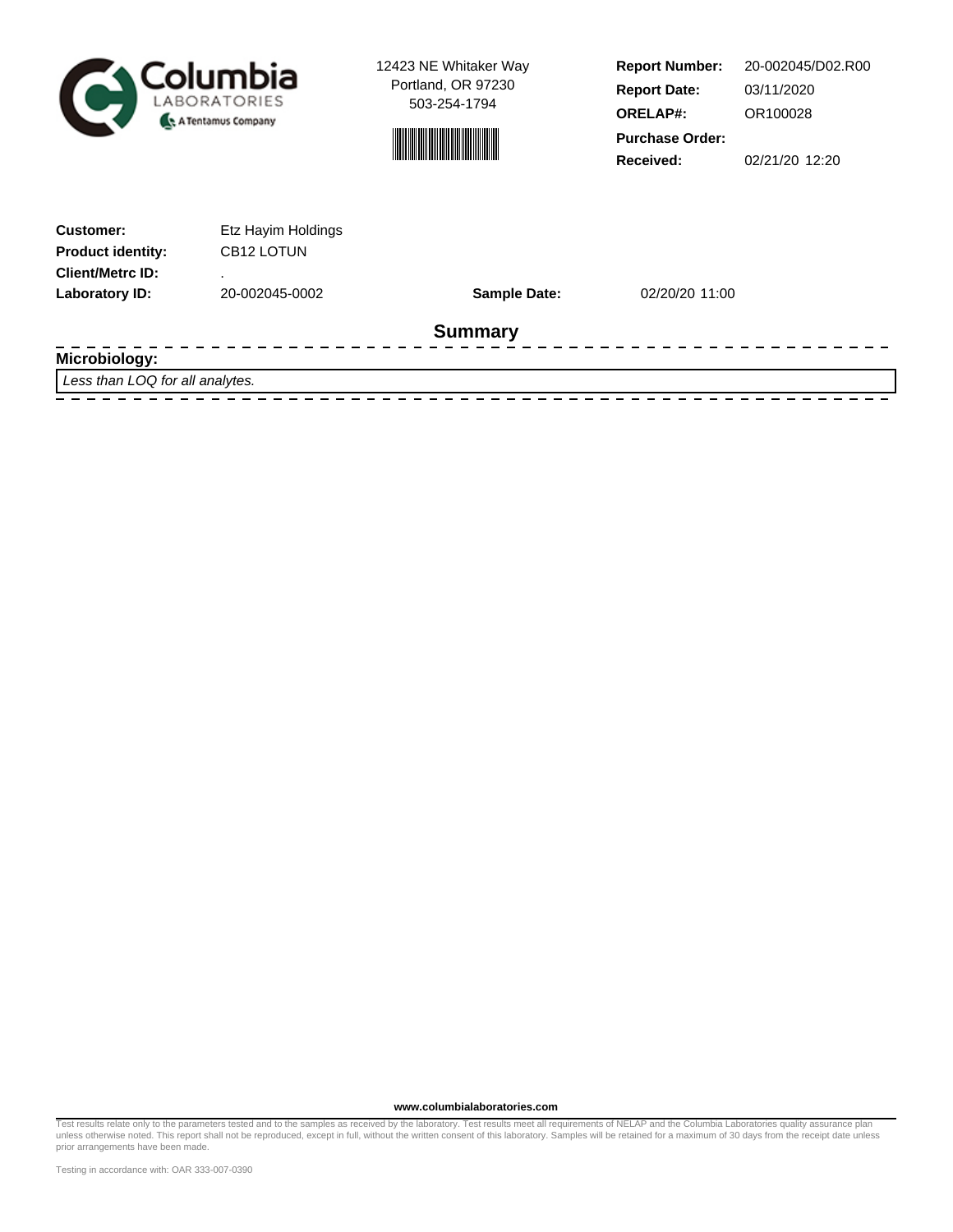



**Report Number: Report Date: ORELAP#:** 03/11/2020 OR100028 **Received:** 02/21/20 12:20 **Purchase Order:** 20-002045/D02.R00

| <b>Customer:</b>         | Etz Hayim Holdings     |                     |                |  |
|--------------------------|------------------------|---------------------|----------------|--|
| <b>Product identity:</b> | CB <sub>12</sub> LOTUN |                     |                |  |
| <b>Client/Metrc ID:</b>  |                        |                     |                |  |
| Laboratory ID:           | 20-002045-0002         | <b>Sample Date:</b> | 02/20/20 11:00 |  |
| <b>Summary</b>           |                        |                     |                |  |
| Microbiology:            |                        |                     |                |  |

Less than LOQ for all analytes.

**www.columbialaboratories.com**